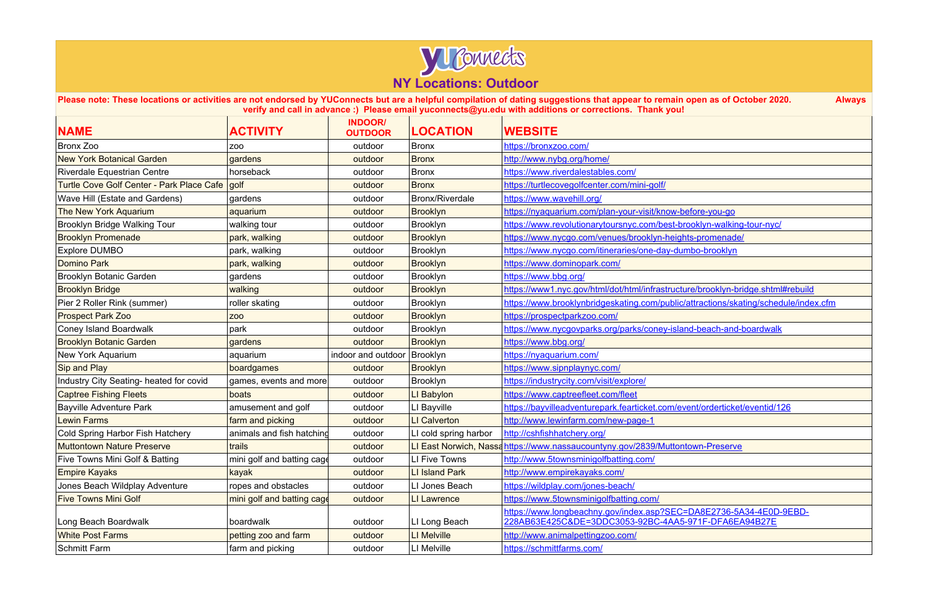

**Please note: These locations or activities are not endorsed by YUConnects but are a helpful compilation of dating suggestions that appear to remain open as of October 2020. Always verify and call in advance :) Please email yuconnects@yu.edu with additions or corrections. Thank you!**

| <b>NAME</b>                                      | <b>ACTIVITY</b>            | <b>INDOOR/</b><br><b>OUTDOOR</b> | <b>LOCATION</b>       | <b>WEBSITE</b>                                                                                                             |
|--------------------------------------------------|----------------------------|----------------------------------|-----------------------|----------------------------------------------------------------------------------------------------------------------------|
| <b>Bronx Zoo</b>                                 | ZOO                        | outdoor                          | <b>Bronx</b>          | https://bronxzoo.com/                                                                                                      |
| <b>New York Botanical Garden</b>                 | gardens                    | outdoor                          | <b>Bronx</b>          | http://www.nybg.org/home/                                                                                                  |
| Riverdale Equestrian Centre                      | horseback                  | outdoor                          | Bronx                 | https://www.riverdalestables.com/                                                                                          |
| <b>Turtle Cove Golf Center - Park Place Cafe</b> | golf                       | outdoor                          | <b>Bronx</b>          | https://turtlecovegolfcenter.com/mini-golf/                                                                                |
| Wave Hill (Estate and Gardens)                   | gardens                    | outdoor                          | Bronx/Riverdale       | https://www.wavehill.org/                                                                                                  |
| The New York Aquarium                            | aquarium                   | outdoor                          | <b>Brooklyn</b>       | https://nyaquarium.com/plan-your-visit/know-before-you-go                                                                  |
| <b>Brooklyn Bridge Walking Tour</b>              | walking tour               | outdoor                          | Brooklyn              | https://www.revolutionarytoursnyc.com/best-brooklyn-walking-tour-nyc/                                                      |
| <b>Brooklyn Promenade</b>                        | park, walking              | outdoor                          | <b>Brooklyn</b>       | https://www.nycgo.com/venues/brooklyn-heights-promenade/                                                                   |
| <b>Explore DUMBO</b>                             | park, walking              | outdoor                          | Brooklyn              | https://www.nycgo.com/itineraries/one-day-dumbo-brooklyn                                                                   |
| <b>Domino Park</b>                               | park, walking              | outdoor                          | <b>Brooklyn</b>       | https://www.dominopark.com/                                                                                                |
| <b>Brooklyn Botanic Garden</b>                   | gardens                    | outdoor                          | Brooklyn              | https://www.bbg.org/                                                                                                       |
| <b>Brooklyn Bridge</b>                           | walking                    | outdoor                          | Brooklyn              | https://www1.nyc.gov/html/dot/html/infrastructure/brooklyn-bridge.shtml#rebuild                                            |
| Pier 2 Roller Rink (summer)                      | roller skating             | outdoor                          | Brooklyn              | https://www.brooklynbridgeskating.com/public/attractions/skating/schedule/index.cfm                                        |
| <b>Prospect Park Zoo</b>                         | <b>ZOO</b>                 | outdoor                          | <b>Brooklyn</b>       | https://prospectparkzoo.com/                                                                                               |
| <b>Coney Island Boardwalk</b>                    | park                       | outdoor                          | Brooklyn              | https://www.nycgovparks.org/parks/coney-island-beach-and-boardwalk                                                         |
| <b>Brooklyn Botanic Garden</b>                   | gardens                    | outdoor                          | <b>Brooklyn</b>       | https://www.bbg.org/                                                                                                       |
| New York Aquarium                                | aquarium                   | indoor and outdoor   Brooklyn    |                       | https://nyaquarium.com/                                                                                                    |
| Sip and Play                                     | boardgames                 | outdoor                          | <b>Brooklyn</b>       | https://www.sipnplaynyc.com/                                                                                               |
| Industry City Seating- heated for covid          | games, events and more     | outdoor                          | Brooklyn              | https://industrycity.com/visit/explore/                                                                                    |
| <b>Captree Fishing Fleets</b>                    | boats                      | outdoor                          | LI Babylon            | https://www.captreefleet.com/fleet                                                                                         |
| <b>Bayville Adventure Park</b>                   | amusement and golf         | outdoor                          | LI Bayville           | https://bayvilleadventurepark.fearticket.com/event/orderticket/eventid/126                                                 |
| <b>Lewin Farms</b>                               | farm and picking           | outdoor                          | <b>LI Calverton</b>   | http://www.lewinfarm.com/new-page-1                                                                                        |
| Cold Spring Harbor Fish Hatchery                 | animals and fish hatching  | outdoor                          | LI cold spring harbor | http://cshfishhatchery.org/                                                                                                |
| <b>Muttontown Nature Preserve</b>                | trails                     | outdoor                          |                       | LI East Norwich, Nassa https://www.nassaucountyny.gov/2839/Muttontown-Preserve                                             |
| Five Towns Mini Golf & Batting                   | mini golf and batting cage | outdoor                          | LI Five Towns         | http://www.5townsminigolfbatting.com/                                                                                      |
| <b>Empire Kayaks</b>                             | kayak                      | outdoor                          | <b>LI Island Park</b> | http://www.empirekayaks.com/                                                                                               |
| Jones Beach Wildplay Adventure                   | ropes and obstacles        | outdoor                          | LI Jones Beach        | https://wildplay.com/jones-beach/                                                                                          |
| <b>Five Towns Mini Golf</b>                      | mini golf and batting cage | outdoor                          | <b>LI Lawrence</b>    | https://www.5townsminigolfbatting.com/                                                                                     |
| Long Beach Boardwalk                             | boardwalk                  | outdoor                          | LI Long Beach         | https://www.longbeachny.gov/index.asp?SEC=DA8E2736-5A34-4E0D-9EBD-<br>228AB63E425C&DE=3DDC3053-92BC-4AA5-971F-DFA6EA94B27E |
| <b>White Post Farms</b>                          | petting zoo and farm       | outdoor                          | LI Melville           | http://www.animalpettingzoo.com/                                                                                           |
| <b>Schmitt Farm</b>                              | farm and picking           | outdoor                          | LI Melville           | https://schmittfarms.com/                                                                                                  |

| before-you-go                                   |
|-------------------------------------------------|
| brooklyn-walking-tour-nyc/                      |
| ghts-promenade/                                 |
| <u>umbo-brooklyn</u>                            |
|                                                 |
|                                                 |
| ture/brooklyn-bridge.shtml#rebuild              |
| <u>c/attractions/skating/schedule/index.cfn</u> |
|                                                 |
| <u>and-beach-and-boardwalk</u>                  |
|                                                 |
|                                                 |
|                                                 |
|                                                 |
|                                                 |
| event/orderticket/eventid/126                   |
|                                                 |
|                                                 |
| ntown-Preserve                                  |
|                                                 |
|                                                 |
|                                                 |
|                                                 |
|                                                 |
| 5-971F-DFA6EA94B27E                             |
|                                                 |
|                                                 |
|                                                 |
|                                                 |
|                                                 |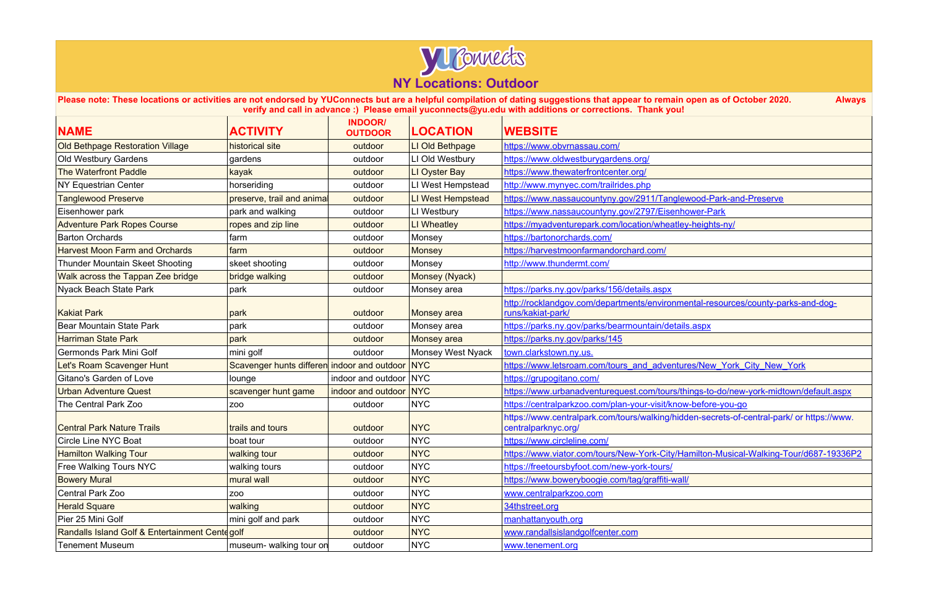

**Please note: These locations or activities are not endorsed by YUConnects but are a helpful compilation of dating suggestions that appear to remain open as of October 2020. Always verify and call in advance :) Please email yuconnects@yu.edu with additions or corrections. Thank you!**

| <b>NAME</b>                                     | <b>ACTIVITY</b>                                 | <b>INDOOR/</b><br><b>OUTDOOR</b> | <b>LOCATION</b>          | <b>WEBSITE</b>                                                                                                   |
|-------------------------------------------------|-------------------------------------------------|----------------------------------|--------------------------|------------------------------------------------------------------------------------------------------------------|
| <b>Old Bethpage Restoration Village</b>         | historical site                                 | outdoor                          | LI Old Bethpage          | https://www.obvrnassau.com/                                                                                      |
| <b>Old Westbury Gardens</b>                     | gardens                                         | outdoor                          | LI Old Westbury          | https://www.oldwestburygardens.org/                                                                              |
| <b>The Waterfront Paddle</b>                    | kayak                                           | outdoor                          | LI Oyster Bay            | https://www.thewaterfrontcenter.org/                                                                             |
| <b>NY Equestrian Center</b>                     | horseriding                                     | outdoor                          | LI West Hempstead        | http://www.mynyec.com/trailrides.php                                                                             |
| <b>Tanglewood Preserve</b>                      | preserve, trail and animal                      | outdoor                          | LI West Hempstead        | https://www.nassaucountyny.gov/2911/Tanglewood-Park-and-Preserve                                                 |
| Eisenhower park                                 | park and walking                                | outdoor                          | LI Westbury              | https://www.nassaucountyny.gov/2797/Eisenhower-Park                                                              |
| <b>Adventure Park Ropes Course</b>              | ropes and zip line                              | outdoor                          | LI Wheatley              | https://myadventurepark.com/location/wheatley-heights-ny/                                                        |
| <b>Barton Orchards</b>                          | farm                                            | outdoor                          | Monsey                   | https://bartonorchards.com/                                                                                      |
| <b>Harvest Moon Farm and Orchards</b>           | farm                                            | outdoor                          | <b>Monsey</b>            | https://harvestmoonfarmandorchard.com/                                                                           |
| Thunder Mountain Skeet Shooting                 | skeet shooting                                  | outdoor                          | Monsey                   | http://www.thundermt.com/                                                                                        |
| Walk across the Tappan Zee bridge               | bridge walking                                  | outdoor                          | Monsey (Nyack)           |                                                                                                                  |
| Nyack Beach State Park                          | park                                            | outdoor                          | Monsey area              | https://parks.ny.gov/parks/156/details.aspx                                                                      |
| <b>Kakiat Park</b>                              | park                                            | outdoor                          | <b>Monsey</b> area       | http://rocklandgov.com/departments/environmental-resources/county-parks-and-dog-<br>runs/kakiat-park/            |
| Bear Mountain State Park                        | park                                            | outdoor                          | Monsey area              | https://parks.ny.gov/parks/bearmountain/details.aspx                                                             |
| <b>Harriman State Park</b>                      | park                                            | outdoor                          | <b>Monsey</b> area       | https://parks.ny.gov/parks/145                                                                                   |
| Germonds Park Mini Golf                         | mini golf                                       | outdoor                          | <b>Monsey West Nyack</b> | town.clarkstown.ny.us.                                                                                           |
| Let's Roam Scavenger Hunt                       | Scavenger hunts differen indoor and outdoor NYC |                                  |                          | https://www.letsroam.com/tours_and_adventures/New_York_City_New_York                                             |
| Gitano's Garden of Love                         | lounge                                          | indoor and outdoor NYC           |                          | https://grupogitano.com/                                                                                         |
| <b>Urban Adventure Quest</b>                    | scavenger hunt game                             | indoor and outdoor NYC           |                          | https://www.urbanadventurequest.com/tours/things-to-do/new-york-midtown/default.aspx                             |
| The Central Park Zoo                            | ZO <sub>O</sub>                                 | outdoor                          | <b>NYC</b>               | https://centralparkzoo.com/plan-your-visit/know-before-you-go                                                    |
| <b>Central Park Nature Trails</b>               | trails and tours                                | outdoor                          | <b>NYC</b>               | https://www.centralpark.com/tours/walking/hidden-secrets-of-central-park/ or https://www.<br>centralparknyc.org/ |
| <b>Circle Line NYC Boat</b>                     | boat tour                                       | outdoor                          | <b>NYC</b>               | https://www.circleline.com/                                                                                      |
| <b>Hamilton Walking Tour</b>                    | walking tour                                    | outdoor                          | <b>NYC</b>               | https://www.viator.com/tours/New-York-City/Hamilton-Musical-Walking-Tour/d687-19336P2                            |
| <b>Free Walking Tours NYC</b>                   | walking tours                                   | outdoor                          | <b>NYC</b>               | https://freetoursbyfoot.com/new-york-tours/                                                                      |
| <b>Bowery Mural</b>                             | mural wall                                      | outdoor                          | <b>NYC</b>               | https://www.boweryboogie.com/tag/graffiti-wall/                                                                  |
| Central Park Zoo                                | ZOO                                             | outdoor                          | <b>NYC</b>               | www.centralparkzoo.com                                                                                           |
| <b>Herald Square</b>                            | walking                                         | outdoor                          | <b>NYC</b>               | 34thstreet.org                                                                                                   |
| Pier 25 Mini Golf                               | mini golf and park                              | outdoor                          | <b>NYC</b>               | manhattanyouth.org                                                                                               |
| Randalls Island Golf & Entertainment Cente golf |                                                 | outdoor                          | <b>NYC</b>               | www.randallsislandgolfcenter.com                                                                                 |
| <b>Tenement Museum</b>                          | museum- walking tour on                         | outdoor                          | <b>NYC</b>               | www.tenement.org                                                                                                 |

| n open as of October 2020.<br><b>Always</b>                       |
|-------------------------------------------------------------------|
| ı!                                                                |
|                                                                   |
|                                                                   |
| ewood-Park-and-Preserve                                           |
| hower-Park<br>ey-heights-ny/                                      |
|                                                                   |
|                                                                   |
|                                                                   |
| nental-resources/county-parks-and-dog-                            |
| <u>ails.aspx</u>                                                  |
| ures/New York City New York                                       |
| things-to-do/new-york-midtown/default.aspx                        |
| ow-before-you-go<br>dden-secrets-of-central-park/ or https://www. |
| Hamilton-Musical-Walking-Tour/d687-19336P2                        |
| $\underline{\text{III}}$                                          |
|                                                                   |
|                                                                   |
|                                                                   |